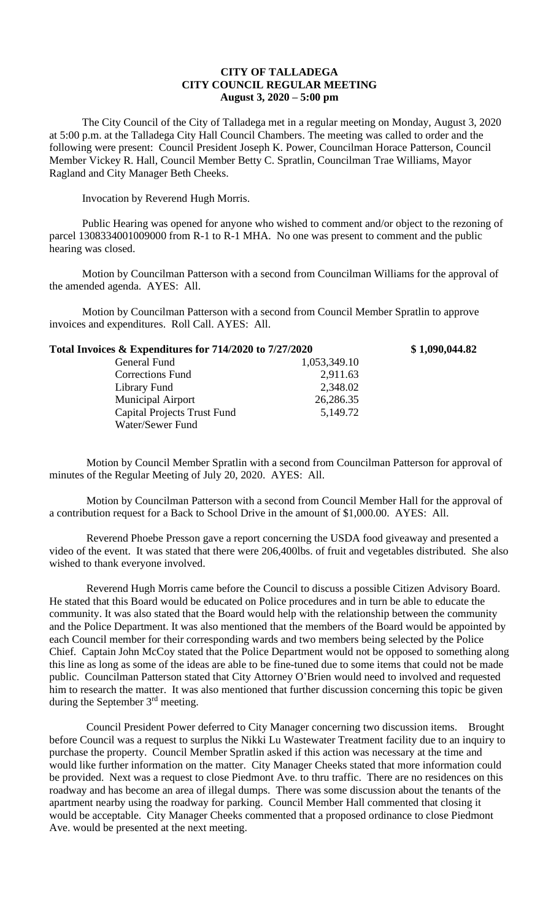## **CITY OF TALLADEGA CITY COUNCIL REGULAR MEETING August 3, 2020 – 5:00 pm**

The City Council of the City of Talladega met in a regular meeting on Monday, August 3, 2020 at 5:00 p.m. at the Talladega City Hall Council Chambers. The meeting was called to order and the following were present: Council President Joseph K. Power, Councilman Horace Patterson, Council Member Vickey R. Hall, Council Member Betty C. Spratlin, Councilman Trae Williams, Mayor Ragland and City Manager Beth Cheeks.

Invocation by Reverend Hugh Morris.

Water/Sewer Fund

Public Hearing was opened for anyone who wished to comment and/or object to the rezoning of parcel 1308334001009000 from R-1 to R-1 MHA. No one was present to comment and the public hearing was closed.

Motion by Councilman Patterson with a second from Councilman Williams for the approval of the amended agenda. AYES: All.

Motion by Councilman Patterson with a second from Council Member Spratlin to approve invoices and expenditures. Roll Call. AYES: All.

| Total Invoices & Expenditures for 714/2020 to 7/27/2020 |              | \$1,090,044.82 |
|---------------------------------------------------------|--------------|----------------|
| General Fund                                            | 1,053,349.10 |                |
| Corrections Fund                                        | 2,911.63     |                |
| Library Fund                                            | 2,348.02     |                |
| <b>Municipal Airport</b>                                | 26,286.35    |                |

Capital Projects Trust Fund 5,149.72

Motion by Council Member Spratlin with a second from Councilman Patterson for approval of minutes of the Regular Meeting of July 20, 2020. AYES: All.

Motion by Councilman Patterson with a second from Council Member Hall for the approval of a contribution request for a Back to School Drive in the amount of \$1,000.00. AYES: All.

Reverend Phoebe Presson gave a report concerning the USDA food giveaway and presented a video of the event. It was stated that there were 206,400lbs. of fruit and vegetables distributed. She also wished to thank everyone involved.

Reverend Hugh Morris came before the Council to discuss a possible Citizen Advisory Board. He stated that this Board would be educated on Police procedures and in turn be able to educate the community. It was also stated that the Board would help with the relationship between the community and the Police Department. It was also mentioned that the members of the Board would be appointed by each Council member for their corresponding wards and two members being selected by the Police Chief. Captain John McCoy stated that the Police Department would not be opposed to something along this line as long as some of the ideas are able to be fine-tuned due to some items that could not be made public. Councilman Patterson stated that City Attorney O'Brien would need to involved and requested him to research the matter. It was also mentioned that further discussion concerning this topic be given during the September 3rd meeting.

Council President Power deferred to City Manager concerning two discussion items. Brought before Council was a request to surplus the Nikki Lu Wastewater Treatment facility due to an inquiry to purchase the property. Council Member Spratlin asked if this action was necessary at the time and would like further information on the matter. City Manager Cheeks stated that more information could be provided. Next was a request to close Piedmont Ave. to thru traffic. There are no residences on this roadway and has become an area of illegal dumps. There was some discussion about the tenants of the apartment nearby using the roadway for parking. Council Member Hall commented that closing it would be acceptable. City Manager Cheeks commented that a proposed ordinance to close Piedmont Ave. would be presented at the next meeting.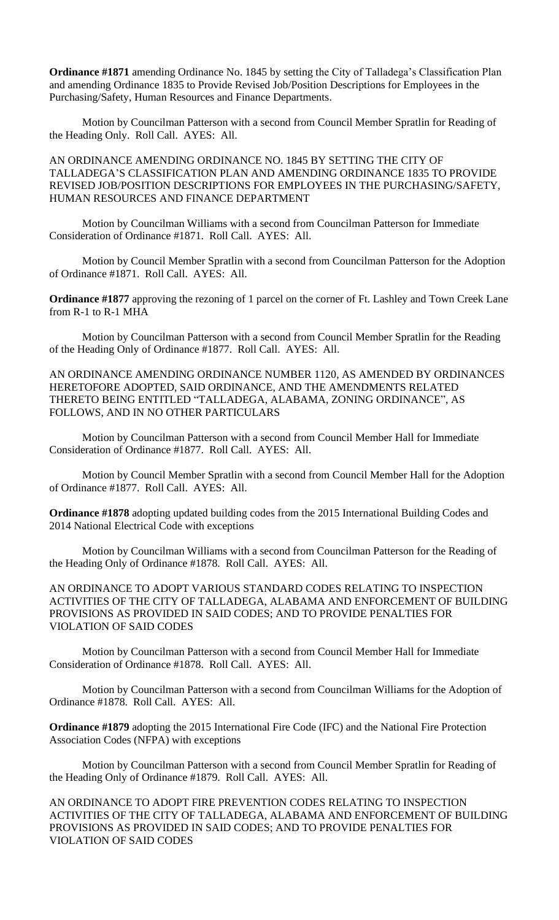**Ordinance #1871** amending Ordinance No. 1845 by setting the City of Talladega's Classification Plan and amending Ordinance 1835 to Provide Revised Job/Position Descriptions for Employees in the Purchasing/Safety, Human Resources and Finance Departments.

Motion by Councilman Patterson with a second from Council Member Spratlin for Reading of the Heading Only. Roll Call. AYES: All.

AN ORDINANCE AMENDING ORDINANCE NO. 1845 BY SETTING THE CITY OF TALLADEGA'S CLASSIFICATION PLAN AND AMENDING ORDINANCE 1835 TO PROVIDE REVISED JOB/POSITION DESCRIPTIONS FOR EMPLOYEES IN THE PURCHASING/SAFETY, HUMAN RESOURCES AND FINANCE DEPARTMENT

Motion by Councilman Williams with a second from Councilman Patterson for Immediate Consideration of Ordinance #1871. Roll Call. AYES: All.

Motion by Council Member Spratlin with a second from Councilman Patterson for the Adoption of Ordinance #1871. Roll Call. AYES: All.

**Ordinance #1877** approving the rezoning of 1 parcel on the corner of Ft. Lashley and Town Creek Lane from R-1 to R-1 MHA

Motion by Councilman Patterson with a second from Council Member Spratlin for the Reading of the Heading Only of Ordinance #1877. Roll Call. AYES: All.

AN ORDINANCE AMENDING ORDINANCE NUMBER 1120, AS AMENDED BY ORDINANCES HERETOFORE ADOPTED, SAID ORDINANCE, AND THE AMENDMENTS RELATED THERETO BEING ENTITLED "TALLADEGA, ALABAMA, ZONING ORDINANCE", AS FOLLOWS, AND IN NO OTHER PARTICULARS

Motion by Councilman Patterson with a second from Council Member Hall for Immediate Consideration of Ordinance #1877. Roll Call. AYES: All.

Motion by Council Member Spratlin with a second from Council Member Hall for the Adoption of Ordinance #1877. Roll Call. AYES: All.

**Ordinance #1878** adopting updated building codes from the 2015 International Building Codes and 2014 National Electrical Code with exceptions

Motion by Councilman Williams with a second from Councilman Patterson for the Reading of the Heading Only of Ordinance #1878. Roll Call. AYES: All.

AN ORDINANCE TO ADOPT VARIOUS STANDARD CODES RELATING TO INSPECTION ACTIVITIES OF THE CITY OF TALLADEGA, ALABAMA AND ENFORCEMENT OF BUILDING PROVISIONS AS PROVIDED IN SAID CODES; AND TO PROVIDE PENALTIES FOR VIOLATION OF SAID CODES

Motion by Councilman Patterson with a second from Council Member Hall for Immediate Consideration of Ordinance #1878. Roll Call. AYES: All.

Motion by Councilman Patterson with a second from Councilman Williams for the Adoption of Ordinance #1878. Roll Call. AYES: All.

**Ordinance #1879** adopting the 2015 International Fire Code (IFC) and the National Fire Protection Association Codes (NFPA) with exceptions

Motion by Councilman Patterson with a second from Council Member Spratlin for Reading of the Heading Only of Ordinance #1879. Roll Call. AYES: All.

AN ORDINANCE TO ADOPT FIRE PREVENTION CODES RELATING TO INSPECTION ACTIVITIES OF THE CITY OF TALLADEGA, ALABAMA AND ENFORCEMENT OF BUILDING PROVISIONS AS PROVIDED IN SAID CODES; AND TO PROVIDE PENALTIES FOR VIOLATION OF SAID CODES